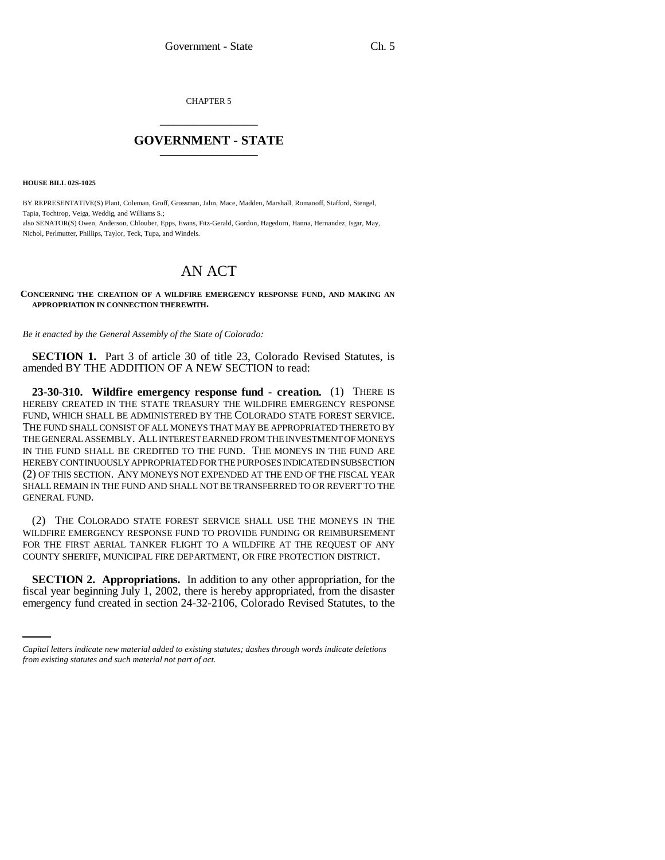CHAPTER 5 \_\_\_\_\_\_\_\_\_\_\_\_\_\_\_

## **GOVERNMENT - STATE** \_\_\_\_\_\_\_\_\_\_\_\_\_\_\_

**HOUSE BILL 02S-1025**

BY REPRESENTATIVE(S) Plant, Coleman, Groff, Grossman, Jahn, Mace, Madden, Marshall, Romanoff, Stafford, Stengel, Tapia, Tochtrop, Veiga, Weddig, and Williams S.; also SENATOR(S) Owen, Anderson, Chlouber, Epps, Evans, Fitz-Gerald, Gordon, Hagedorn, Hanna, Hernandez, Isgar, May, Nichol, Perlmutter, Phillips, Taylor, Teck, Tupa, and Windels.

## AN ACT

## **CONCERNING THE CREATION OF A WILDFIRE EMERGENCY RESPONSE FUND, AND MAKING AN APPROPRIATION IN CONNECTION THEREWITH.**

*Be it enacted by the General Assembly of the State of Colorado:*

**SECTION 1.** Part 3 of article 30 of title 23, Colorado Revised Statutes, is amended BY THE ADDITION OF A NEW SECTION to read:

**23-30-310. Wildfire emergency response fund - creation.** (1) THERE IS HEREBY CREATED IN THE STATE TREASURY THE WILDFIRE EMERGENCY RESPONSE FUND, WHICH SHALL BE ADMINISTERED BY THE COLORADO STATE FOREST SERVICE. THE FUND SHALL CONSIST OF ALL MONEYS THAT MAY BE APPROPRIATED THERETO BY THE GENERAL ASSEMBLY. ALL INTEREST EARNED FROM THE INVESTMENT OF MONEYS IN THE FUND SHALL BE CREDITED TO THE FUND. THE MONEYS IN THE FUND ARE HEREBY CONTINUOUSLY APPROPRIATED FOR THE PURPOSES INDICATED IN SUBSECTION (2) OF THIS SECTION. ANY MONEYS NOT EXPENDED AT THE END OF THE FISCAL YEAR SHALL REMAIN IN THE FUND AND SHALL NOT BE TRANSFERRED TO OR REVERT TO THE GENERAL FUND.

(2) THE COLORADO STATE FOREST SERVICE SHALL USE THE MONEYS IN THE WILDFIRE EMERGENCY RESPONSE FUND TO PROVIDE FUNDING OR REIMBURSEMENT FOR THE FIRST AERIAL TANKER FLIGHT TO A WILDFIRE AT THE REQUEST OF ANY COUNTY SHERIFF, MUNICIPAL FIRE DEPARTMENT, OR FIRE PROTECTION DISTRICT.

 **SECTION 2. Appropriations.** In addition to any other appropriation, for the fiscal year beginning July 1, 2002, there is hereby appropriated, from the disaster emergency fund created in section 24-32-2106, Colorado Revised Statutes, to the

*Capital letters indicate new material added to existing statutes; dashes through words indicate deletions from existing statutes and such material not part of act.*